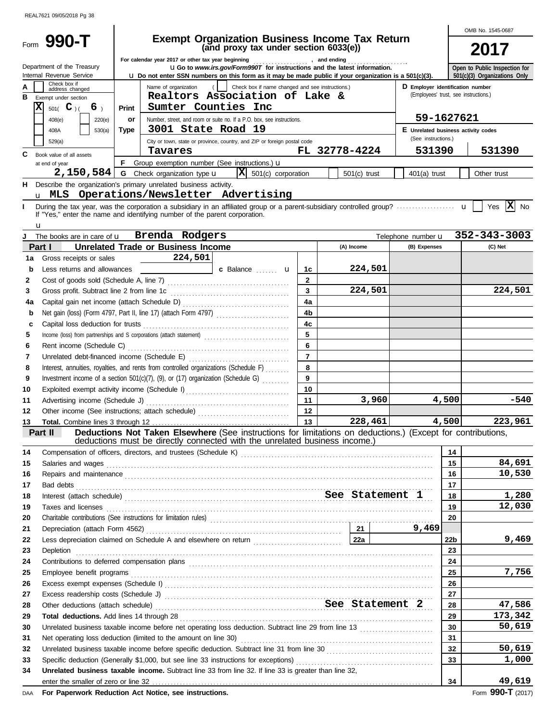|          |                                                                                                                                                                                                                                                                                                                                                                                                                                                                                                      |                                                                                                                                                                                                                                |                                                                                                                                                                                                                                     |                                   |                |               |                |       | OMB No. 1545-0687                                          |                                                               |                       |  |
|----------|------------------------------------------------------------------------------------------------------------------------------------------------------------------------------------------------------------------------------------------------------------------------------------------------------------------------------------------------------------------------------------------------------------------------------------------------------------------------------------------------------|--------------------------------------------------------------------------------------------------------------------------------------------------------------------------------------------------------------------------------|-------------------------------------------------------------------------------------------------------------------------------------------------------------------------------------------------------------------------------------|-----------------------------------|----------------|---------------|----------------|-------|------------------------------------------------------------|---------------------------------------------------------------|-----------------------|--|
|          | Form 990-T                                                                                                                                                                                                                                                                                                                                                                                                                                                                                           | <b>Exempt Organization Business Income Tax Return</b><br>(and proxy tax under section 6033(e))                                                                                                                                 |                                                                                                                                                                                                                                     |                                   |                |               |                |       |                                                            |                                                               | 2017                  |  |
|          | For calendar year 2017 or other tax year beginning [1] [1] The calendary and ending [1] [1] The calendary year beginning [1] [1] $\cdot$ and ending [1] $\cdot$ and ending [1] $\cdot$ and ending [1] $\cdot$ and ending [1] $\cdot$ and endi<br>Department of the Treasury<br><b>UGo</b> to www.irs.gov/Form990T for instructions and the latest information.<br>Internal Revenue Service<br>Lu Do not enter SSN numbers on this form as it may be made public if your organization is a 501(c)(3). |                                                                                                                                                                                                                                |                                                                                                                                                                                                                                     |                                   |                |               |                |       |                                                            | Open to Public Inspection for<br>501(c)(3) Organizations Only |                       |  |
| А<br>в   | Check box if<br>address changed<br>Exempt under section                                                                                                                                                                                                                                                                                                                                                                                                                                              | Check box if name changed and see instructions.)<br>Name of organization<br>D Employer identification number<br>(Employees' trust, see instructions.)<br>Realtors Association of Lake &                                        |                                                                                                                                                                                                                                     |                                   |                |               |                |       |                                                            |                                                               |                       |  |
| X        | $501($ C $)$ (<br>6 <sub>1</sub>                                                                                                                                                                                                                                                                                                                                                                                                                                                                     | Print                                                                                                                                                                                                                          | Sumter Counties Inc                                                                                                                                                                                                                 |                                   |                |               |                |       |                                                            |                                                               |                       |  |
|          | 408(e)<br>220(e)                                                                                                                                                                                                                                                                                                                                                                                                                                                                                     | or                                                                                                                                                                                                                             | Number, street, and room or suite no. If a P.O. box, see instructions.<br>3001 State Road 19                                                                                                                                        |                                   |                |               |                |       | 59-1627621                                                 |                                                               |                       |  |
|          | 408A<br>530(a)                                                                                                                                                                                                                                                                                                                                                                                                                                                                                       | Type                                                                                                                                                                                                                           |                                                                                                                                                                                                                                     |                                   |                |               |                |       | E Unrelated business activity codes<br>(See instructions.) |                                                               |                       |  |
|          | 529(a)                                                                                                                                                                                                                                                                                                                                                                                                                                                                                               |                                                                                                                                                                                                                                | City or town, state or province, country, and ZIP or foreign postal code<br>Tavares                                                                                                                                                 |                                   |                | FL 32778-4224 |                |       | 531390                                                     |                                                               | 531390                |  |
| C.       | Book value of all assets<br>at end of year                                                                                                                                                                                                                                                                                                                                                                                                                                                           | F.                                                                                                                                                                                                                             | Group exemption number (See instructions.) u                                                                                                                                                                                        |                                   |                |               |                |       |                                                            |                                                               |                       |  |
|          | 2,150,584                                                                                                                                                                                                                                                                                                                                                                                                                                                                                            |                                                                                                                                                                                                                                | <b>G</b> Check organization type <b>u</b>                                                                                                                                                                                           | $ \mathbf{X} $ 501(c) corporation |                |               | $501(c)$ trust |       | $401(a)$ trust                                             |                                                               | Other trust           |  |
| н.       |                                                                                                                                                                                                                                                                                                                                                                                                                                                                                                      |                                                                                                                                                                                                                                | Describe the organization's primary unrelated business activity.<br>u MLS Operations/Newsletter Advertising                                                                                                                         |                                   |                |               |                |       |                                                            |                                                               |                       |  |
| L        |                                                                                                                                                                                                                                                                                                                                                                                                                                                                                                      |                                                                                                                                                                                                                                | If "Yes," enter the name and identifying number of the parent corporation.                                                                                                                                                          |                                   |                |               |                |       |                                                            |                                                               | Yes $ \mathbf{X} $ No |  |
|          | u<br>The books are in care of <b>u</b>                                                                                                                                                                                                                                                                                                                                                                                                                                                               |                                                                                                                                                                                                                                | Brenda Rodgers                                                                                                                                                                                                                      |                                   |                |               |                |       | Telephone number <b>u</b>                                  |                                                               | 352-343-3003          |  |
|          | Part I                                                                                                                                                                                                                                                                                                                                                                                                                                                                                               |                                                                                                                                                                                                                                | <b>Unrelated Trade or Business Income</b>                                                                                                                                                                                           |                                   |                |               | (A) Income     |       | (B) Expenses                                               |                                                               | (C) Net               |  |
| 1a       | Gross receipts or sales                                                                                                                                                                                                                                                                                                                                                                                                                                                                              |                                                                                                                                                                                                                                | 224,501                                                                                                                                                                                                                             |                                   |                |               |                |       |                                                            |                                                               |                       |  |
| b        | Less returns and allowances                                                                                                                                                                                                                                                                                                                                                                                                                                                                          |                                                                                                                                                                                                                                |                                                                                                                                                                                                                                     | c Balance <b>u</b>                | 1c             |               | 224,501        |       |                                                            |                                                               |                       |  |
| 2        |                                                                                                                                                                                                                                                                                                                                                                                                                                                                                                      |                                                                                                                                                                                                                                |                                                                                                                                                                                                                                     |                                   | $\mathbf{2}$   |               |                |       |                                                            |                                                               |                       |  |
| 3        | Gross profit. Subtract line 2 from line 1c                                                                                                                                                                                                                                                                                                                                                                                                                                                           |                                                                                                                                                                                                                                |                                                                                                                                                                                                                                     |                                   | 3              |               | 224,501        |       |                                                            |                                                               | 224,501               |  |
| 4a       |                                                                                                                                                                                                                                                                                                                                                                                                                                                                                                      |                                                                                                                                                                                                                                |                                                                                                                                                                                                                                     |                                   | 4a             |               |                |       |                                                            |                                                               |                       |  |
| b        |                                                                                                                                                                                                                                                                                                                                                                                                                                                                                                      |                                                                                                                                                                                                                                |                                                                                                                                                                                                                                     |                                   | 4b             |               |                |       |                                                            |                                                               |                       |  |
| c        |                                                                                                                                                                                                                                                                                                                                                                                                                                                                                                      |                                                                                                                                                                                                                                |                                                                                                                                                                                                                                     |                                   | 4c<br>5        |               |                |       |                                                            |                                                               |                       |  |
| 5<br>6   |                                                                                                                                                                                                                                                                                                                                                                                                                                                                                                      |                                                                                                                                                                                                                                |                                                                                                                                                                                                                                     |                                   | 6              |               |                |       |                                                            |                                                               |                       |  |
| 7        |                                                                                                                                                                                                                                                                                                                                                                                                                                                                                                      |                                                                                                                                                                                                                                |                                                                                                                                                                                                                                     |                                   | $\overline{7}$ |               |                |       |                                                            |                                                               |                       |  |
| 8        |                                                                                                                                                                                                                                                                                                                                                                                                                                                                                                      |                                                                                                                                                                                                                                | Interest, annuities, royalties, and rents from controlled organizations (Schedule F)                                                                                                                                                |                                   | 8              |               |                |       |                                                            |                                                               |                       |  |
| 9        |                                                                                                                                                                                                                                                                                                                                                                                                                                                                                                      |                                                                                                                                                                                                                                | Investment income of a section 501(c)(7), (9), or (17) organization (Schedule G)                                                                                                                                                    |                                   | 9              |               |                |       |                                                            |                                                               |                       |  |
| 10       |                                                                                                                                                                                                                                                                                                                                                                                                                                                                                                      |                                                                                                                                                                                                                                | Exploited exempt activity income (Schedule I)                                                                                                                                                                                       |                                   | 10             |               |                |       |                                                            |                                                               |                       |  |
| 11       | Advertising income (Schedule J)                                                                                                                                                                                                                                                                                                                                                                                                                                                                      |                                                                                                                                                                                                                                |                                                                                                                                                                                                                                     |                                   | 11             |               |                | 3,960 |                                                            | 4,500                                                         | -540                  |  |
| 12       |                                                                                                                                                                                                                                                                                                                                                                                                                                                                                                      |                                                                                                                                                                                                                                | Other income (See instructions; attach schedule)                                                                                                                                                                                    |                                   | 12             |               |                |       |                                                            |                                                               |                       |  |
| 13       |                                                                                                                                                                                                                                                                                                                                                                                                                                                                                                      |                                                                                                                                                                                                                                |                                                                                                                                                                                                                                     |                                   | 13             |               | 228,461        |       |                                                            | 4,500                                                         | 223,961               |  |
|          | Part II                                                                                                                                                                                                                                                                                                                                                                                                                                                                                              |                                                                                                                                                                                                                                | Deductions Not Taken Elsewhere (See instructions for limitations on deductions.) (Except for contributions,<br>deductions must be directly connected with the unrelated business income.)                                           |                                   |                |               |                |       |                                                            |                                                               |                       |  |
| 14       |                                                                                                                                                                                                                                                                                                                                                                                                                                                                                                      |                                                                                                                                                                                                                                |                                                                                                                                                                                                                                     |                                   |                |               |                |       |                                                            | 14                                                            |                       |  |
| 15       |                                                                                                                                                                                                                                                                                                                                                                                                                                                                                                      |                                                                                                                                                                                                                                |                                                                                                                                                                                                                                     |                                   |                |               |                |       |                                                            | 15                                                            | 84,691                |  |
| 16       |                                                                                                                                                                                                                                                                                                                                                                                                                                                                                                      |                                                                                                                                                                                                                                | Repairs and maintenance <i>communically contained and maintenance and maintenance and maintenance</i>                                                                                                                               |                                   |                |               |                |       |                                                            | 16                                                            | 10,530                |  |
| 17       |                                                                                                                                                                                                                                                                                                                                                                                                                                                                                                      |                                                                                                                                                                                                                                | Bad debts $\ldots$                                                                                                                                                                                                                  |                                   |                |               |                |       |                                                            | 17                                                            |                       |  |
| 18       |                                                                                                                                                                                                                                                                                                                                                                                                                                                                                                      |                                                                                                                                                                                                                                | Interest (attach schedule) <b>Example 2</b> See Statement 1                                                                                                                                                                         |                                   |                |               |                |       |                                                            | 18                                                            | 1,280                 |  |
| 19       |                                                                                                                                                                                                                                                                                                                                                                                                                                                                                                      |                                                                                                                                                                                                                                | Taxes and licenses <b>construction and construction</b> and construction of the construction of the construction of the construction of the construction of the construction of the construction of the construction of the constru |                                   |                |               |                |       |                                                            | 19                                                            | 12,030                |  |
| 20<br>21 |                                                                                                                                                                                                                                                                                                                                                                                                                                                                                                      |                                                                                                                                                                                                                                |                                                                                                                                                                                                                                     |                                   |                |               |                |       | 9,469                                                      | 20                                                            |                       |  |
| 22       |                                                                                                                                                                                                                                                                                                                                                                                                                                                                                                      |                                                                                                                                                                                                                                |                                                                                                                                                                                                                                     |                                   |                |               |                |       |                                                            | 22b                                                           | 9,469                 |  |
| 23       |                                                                                                                                                                                                                                                                                                                                                                                                                                                                                                      |                                                                                                                                                                                                                                | Depletion <b>construction construction construction construction construction construction construction construction construction construction construction construction construction construction c</b>                            |                                   |                |               |                |       |                                                            | 23                                                            |                       |  |
| 24       |                                                                                                                                                                                                                                                                                                                                                                                                                                                                                                      |                                                                                                                                                                                                                                | Contributions to deferred compensation plans entertainment and contributions to deferred compensation plans                                                                                                                         |                                   |                |               |                |       |                                                            | 24                                                            |                       |  |
| 25       |                                                                                                                                                                                                                                                                                                                                                                                                                                                                                                      |                                                                                                                                                                                                                                |                                                                                                                                                                                                                                     |                                   |                |               |                |       |                                                            | 25                                                            | 7,756                 |  |
| 26       |                                                                                                                                                                                                                                                                                                                                                                                                                                                                                                      | Excess exempt expenses (Schedule I) Material Constant Constant Constant Constant Constant Constant Constant Constant Constant Constant Constant Constant Constant Constant Constant Constant Constant Constant Constant Consta |                                                                                                                                                                                                                                     |                                   |                |               |                |       | 26                                                         |                                                               |                       |  |
| 27       |                                                                                                                                                                                                                                                                                                                                                                                                                                                                                                      |                                                                                                                                                                                                                                |                                                                                                                                                                                                                                     |                                   |                |               |                |       | 27                                                         |                                                               |                       |  |
| 28       | Other deductions (attach schedule) Mathematical See Statement 2                                                                                                                                                                                                                                                                                                                                                                                                                                      |                                                                                                                                                                                                                                |                                                                                                                                                                                                                                     |                                   |                |               |                |       | 28                                                         | 47,586                                                        |                       |  |
| 29       |                                                                                                                                                                                                                                                                                                                                                                                                                                                                                                      |                                                                                                                                                                                                                                |                                                                                                                                                                                                                                     |                                   |                |               |                |       |                                                            | 29<br>30                                                      | 173,342<br>50,619     |  |
| 30<br>31 |                                                                                                                                                                                                                                                                                                                                                                                                                                                                                                      |                                                                                                                                                                                                                                |                                                                                                                                                                                                                                     |                                   |                |               |                |       |                                                            | 31                                                            |                       |  |
| 32       |                                                                                                                                                                                                                                                                                                                                                                                                                                                                                                      |                                                                                                                                                                                                                                |                                                                                                                                                                                                                                     |                                   |                |               |                |       |                                                            | 32                                                            | 50,619                |  |
| 33       |                                                                                                                                                                                                                                                                                                                                                                                                                                                                                                      |                                                                                                                                                                                                                                |                                                                                                                                                                                                                                     |                                   |                |               |                |       |                                                            | 33                                                            | 1,000                 |  |
| 34       |                                                                                                                                                                                                                                                                                                                                                                                                                                                                                                      |                                                                                                                                                                                                                                | Unrelated business taxable income. Subtract line 33 from line 32. If line 33 is greater than line 32,                                                                                                                               |                                   |                |               |                |       |                                                            |                                                               |                       |  |
|          |                                                                                                                                                                                                                                                                                                                                                                                                                                                                                                      |                                                                                                                                                                                                                                |                                                                                                                                                                                                                                     |                                   |                |               |                |       |                                                            | 34                                                            | 49,619                |  |

**For Paperwork Reduction Act Notice, see instructions.** DAA Form **990-T** (2017)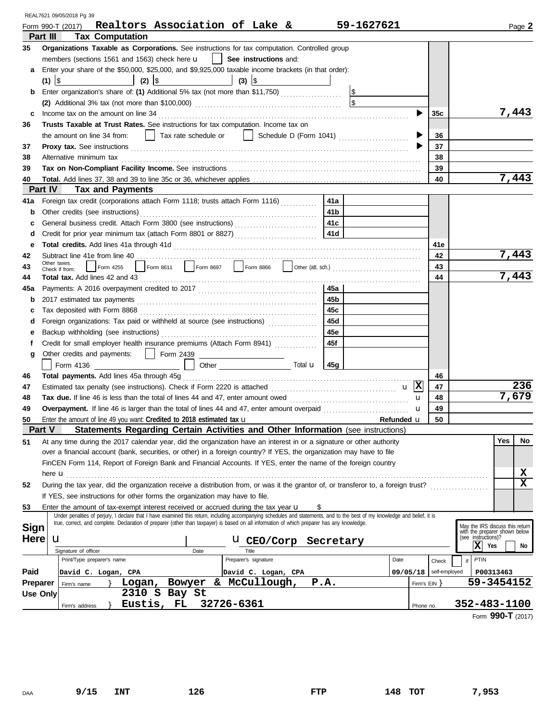|                 | REAL7621 09/05/2018 Pg 39                                                                                                                                                                                                                                                                                                 |                    |                          |                |                                                                                         |
|-----------------|---------------------------------------------------------------------------------------------------------------------------------------------------------------------------------------------------------------------------------------------------------------------------------------------------------------------------|--------------------|--------------------------|----------------|-----------------------------------------------------------------------------------------|
|                 | Realtors Association of Lake &<br>Form 990-T (2017)                                                                                                                                                                                                                                                                       | 59-1627621         |                          |                | Page 2                                                                                  |
|                 | <b>Tax Computation</b><br>Part III                                                                                                                                                                                                                                                                                        |                    |                          |                |                                                                                         |
| 35              | Organizations Taxable as Corporations. See instructions for tax computation. Controlled group                                                                                                                                                                                                                             |                    |                          |                |                                                                                         |
|                 | members (sections 1561 and 1563) check here $\mathbf{u}$   See instructions and:                                                                                                                                                                                                                                          |                    |                          |                |                                                                                         |
| a               | Enter your share of the \$50,000, \$25,000, and \$9,925,000 taxable income brackets (in that order):<br>$(2)$ \$<br>$\vert$ (3) $\vert$ \$<br>$(1)$   \$                                                                                                                                                                  |                    |                          |                |                                                                                         |
| b               | Enter organization's share of: (1) Additional 5% tax (not more than \$11,750)                                                                                                                                                                                                                                             |                    |                          |                |                                                                                         |
|                 |                                                                                                                                                                                                                                                                                                                           |                    |                          |                |                                                                                         |
| c               |                                                                                                                                                                                                                                                                                                                           |                    |                          | 35c            | 7,443                                                                                   |
| 36              | <b>Trusts Taxable at Trust Rates.</b> See instructions for tax computation. Income tax on                                                                                                                                                                                                                                 |                    |                          |                |                                                                                         |
|                 |                                                                                                                                                                                                                                                                                                                           |                    |                          | 36             |                                                                                         |
| 37              |                                                                                                                                                                                                                                                                                                                           |                    |                          | 37             |                                                                                         |
| 38              | Alternative minimum tax encourance and contact the minimum tax and contact the minimum tax encourance and alternative minimum tax                                                                                                                                                                                         |                    |                          | 38             |                                                                                         |
| 39              |                                                                                                                                                                                                                                                                                                                           |                    |                          | 39             |                                                                                         |
| 40              |                                                                                                                                                                                                                                                                                                                           |                    |                          | 40             | 7,443                                                                                   |
|                 | Part IV<br><b>Tax and Payments</b>                                                                                                                                                                                                                                                                                        |                    |                          |                |                                                                                         |
| 41a             | Foreign tax credit (corporations attach Form 1118; trusts attach Form 1116)                                                                                                                                                                                                                                               | 41a                |                          |                |                                                                                         |
| b               |                                                                                                                                                                                                                                                                                                                           | 41b                |                          |                |                                                                                         |
| c               |                                                                                                                                                                                                                                                                                                                           | 41с                |                          |                |                                                                                         |
| d               |                                                                                                                                                                                                                                                                                                                           |                    |                          |                |                                                                                         |
| е               |                                                                                                                                                                                                                                                                                                                           |                    |                          | 41e            |                                                                                         |
| 42              |                                                                                                                                                                                                                                                                                                                           |                    |                          | 42             | 7,443                                                                                   |
| 43              | Form 4255<br>Check if from:                                                                                                                                                                                                                                                                                               |                    |                          | 43             |                                                                                         |
| 44              | Total tax. Add lines 42 and 43 <b>Construction</b> 43 <b>Construction</b> 4 <b>Construction</b> 6 <b>Construction</b> 6 <b>Construction</b> 6 <b>Construction</b> 6 <b>Construction</b> 6 <b>Construction</b> 6 <b>Construction</b> 6 <b>Construction</b> 6 <b>Construction</b> 6 <b>Co</b>                               |                    |                          | 44             | 7,443                                                                                   |
| 45a             |                                                                                                                                                                                                                                                                                                                           | 45a                |                          |                |                                                                                         |
| b               |                                                                                                                                                                                                                                                                                                                           | 45b                |                          |                |                                                                                         |
| c               |                                                                                                                                                                                                                                                                                                                           | 45с                |                          |                |                                                                                         |
| d               | Foreign organizations: Tax paid or withheld at source (see instructions) [                                                                                                                                                                                                                                                | 45d                |                          |                |                                                                                         |
| е               |                                                                                                                                                                                                                                                                                                                           | 45e                |                          |                |                                                                                         |
| f               | Credit for small employer health insurance premiums (Attach Form 8941) [                                                                                                                                                                                                                                                  | 45f                |                          |                |                                                                                         |
| g               | Other credits and payments: 1 Form 2439                                                                                                                                                                                                                                                                                   |                    |                          |                |                                                                                         |
|                 | Other $\frac{\ }{\ }$ Total <b>u</b> $\frac{1}{45g}$                                                                                                                                                                                                                                                                      |                    |                          |                |                                                                                         |
| 46              |                                                                                                                                                                                                                                                                                                                           |                    |                          | 46             |                                                                                         |
| 47              |                                                                                                                                                                                                                                                                                                                           |                    |                          | 47             | 236                                                                                     |
| 48              |                                                                                                                                                                                                                                                                                                                           |                    | u                        | 48             | 7,679                                                                                   |
| 49              |                                                                                                                                                                                                                                                                                                                           |                    |                          | 49             |                                                                                         |
| 50              | Enter the amount of line 49 you want: Credited to 2018 estimated tax $\mathbf u$                                                                                                                                                                                                                                          | <b>Refunded LI</b> |                          | 50             |                                                                                         |
|                 | Part V<br>Statements Regarding Certain Activities and Other Information (see instructions)                                                                                                                                                                                                                                |                    |                          |                |                                                                                         |
| 51              | At any time during the 2017 calendar year, did the organization have an interest in or a signature or other authority                                                                                                                                                                                                     |                    |                          |                | Yes<br>No.                                                                              |
|                 | over a financial account (bank, securities, or other) in a foreign country? If YES, the organization may have to file                                                                                                                                                                                                     |                    |                          |                |                                                                                         |
|                 | FinCEN Form 114, Report of Foreign Bank and Financial Accounts. If YES, enter the name of the foreign country                                                                                                                                                                                                             |                    |                          |                |                                                                                         |
|                 |                                                                                                                                                                                                                                                                                                                           |                    |                          |                | X                                                                                       |
| 52              | During the tax year, did the organization receive a distribution from, or was it the grantor of, or transferor to, a foreign trust?                                                                                                                                                                                       |                    |                          |                | X                                                                                       |
|                 | If YES, see instructions for other forms the organization may have to file.                                                                                                                                                                                                                                               |                    |                          |                |                                                                                         |
| 53              | Enter the amount of tax-exempt interest received or accrued during the tax year <b>u</b>                                                                                                                                                                                                                                  |                    |                          |                |                                                                                         |
|                 | Under penalties of perjury, I declare that I have examined this return, including accompanying schedules and statements, and to the best of my knowledge and belief, it is<br>true, correct, and complete. Declaration of preparer (other than taxpayer) is based on all information of which preparer has any knowledge. |                    |                          |                |                                                                                         |
| <b>Sign</b>     |                                                                                                                                                                                                                                                                                                                           |                    |                          |                | May the IRS discuss this return<br>with the preparer shown below<br>(see instructions)? |
| <b>Here</b>     | u<br><b>U</b> CEO/Corp                                                                                                                                                                                                                                                                                                    | Secretary          |                          |                | x <br>Yes<br>No                                                                         |
|                 | Signature of officer<br>Title<br>Date                                                                                                                                                                                                                                                                                     |                    |                          |                |                                                                                         |
|                 | Print/Type preparer's name<br>Preparer's signature                                                                                                                                                                                                                                                                        |                    | Date                     | Check          | PTIN<br>if                                                                              |
| Paid            | David C. Logan, CPA<br>David C. Logan, CPA                                                                                                                                                                                                                                                                                |                    | 09/05/18   self-employed |                | P00313463                                                                               |
| Preparer        | & McCullough,<br>Bowyer<br>Logan,<br>Firm's name                                                                                                                                                                                                                                                                          | P.A.               |                          | Firm's $EIN$ } | 59-3454152                                                                              |
| <b>Use Only</b> | 2310 S Bay St                                                                                                                                                                                                                                                                                                             |                    |                          |                |                                                                                         |
|                 | Eustis, FL<br>32726-6361<br>Firm's address                                                                                                                                                                                                                                                                                |                    | Phone no.                |                | 352-483-1100                                                                            |
|                 |                                                                                                                                                                                                                                                                                                                           |                    |                          |                | Form 990-T (2017)                                                                       |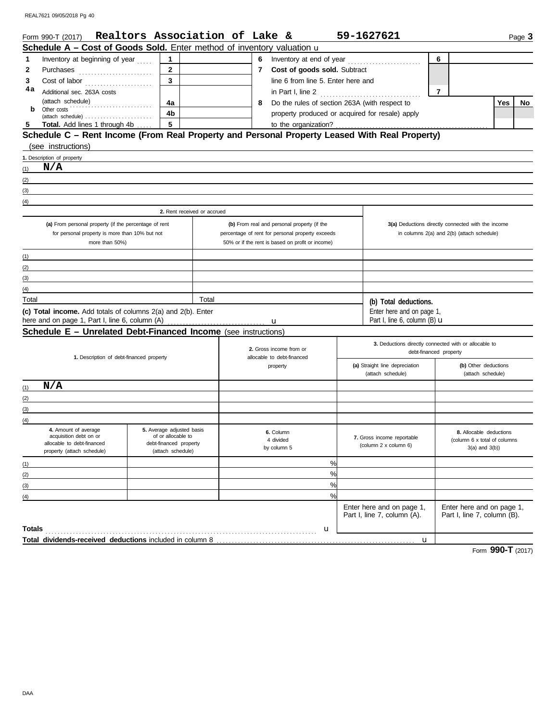REAL7621 09/05/2018 Pg 40

|                  | Form 990-T (2017) Realtors Association of Lake &                                                               |                                             |       |          |                                   |                                                  |  | 59-1627621                                                            |                                                          |     | Page 3 |
|------------------|----------------------------------------------------------------------------------------------------------------|---------------------------------------------|-------|----------|-----------------------------------|--------------------------------------------------|--|-----------------------------------------------------------------------|----------------------------------------------------------|-----|--------|
|                  | <b>Schedule A – Cost of Goods Sold.</b> Enter method of inventory valuation u                                  |                                             |       |          |                                   |                                                  |  |                                                                       |                                                          |     |        |
| 1                | Inventory at beginning of year                                                                                 | 1                                           |       |          | 6                                 |                                                  |  | 6                                                                     |                                                          |     |        |
| 2                |                                                                                                                | $\mathbf{2}$                                |       |          | Cost of goods sold. Subtract<br>7 |                                                  |  |                                                                       |                                                          |     |        |
| 3                | Cost of labor                                                                                                  | $\overline{\mathbf{3}}$                     |       |          |                                   | line 6 from line 5. Enter here and               |  |                                                                       |                                                          |     |        |
| 4a               | Additional sec. 263A costs                                                                                     |                                             |       |          |                                   |                                                  |  |                                                                       | $\overline{7}$                                           |     |        |
|                  | (attach schedule)                                                                                              | 4a                                          |       |          | 8                                 | Do the rules of section 263A (with respect to    |  |                                                                       |                                                          | Yes | No     |
| b                | .<br>Other costs                                                                                               | 4b                                          |       |          |                                   | property produced or acquired for resale) apply  |  |                                                                       |                                                          |     |        |
| 5                | (attach schedule)<br><b>Total.</b> Add lines 1 through 4b                                                      | 5                                           |       |          |                                   | to the organization?                             |  |                                                                       |                                                          |     |        |
|                  | Schedule C - Rent Income (From Real Property and Personal Property Leased With Real Property)                  |                                             |       |          |                                   |                                                  |  |                                                                       |                                                          |     |        |
|                  | (see instructions)                                                                                             |                                             |       |          |                                   |                                                  |  |                                                                       |                                                          |     |        |
|                  | 1. Description of property                                                                                     |                                             |       |          |                                   |                                                  |  |                                                                       |                                                          |     |        |
| (1)              | N/A                                                                                                            |                                             |       |          |                                   |                                                  |  |                                                                       |                                                          |     |        |
| (2)              |                                                                                                                |                                             |       |          |                                   |                                                  |  |                                                                       |                                                          |     |        |
| (3)              |                                                                                                                |                                             |       |          |                                   |                                                  |  |                                                                       |                                                          |     |        |
| (4)              |                                                                                                                |                                             |       |          |                                   |                                                  |  |                                                                       |                                                          |     |        |
|                  |                                                                                                                | 2. Rent received or accrued                 |       |          |                                   |                                                  |  |                                                                       |                                                          |     |        |
|                  | (a) From personal property (if the percentage of rent                                                          |                                             |       |          |                                   | (b) From real and personal property (if the      |  |                                                                       | 3(a) Deductions directly connected with the income       |     |        |
|                  | for personal property is more than 10% but not                                                                 |                                             |       |          |                                   | percentage of rent for personal property exceeds |  |                                                                       | in columns 2(a) and 2(b) (attach schedule)               |     |        |
| more than 50%)   |                                                                                                                |                                             |       |          |                                   | 50% or if the rent is based on profit or income) |  |                                                                       |                                                          |     |        |
|                  |                                                                                                                |                                             |       |          |                                   |                                                  |  |                                                                       |                                                          |     |        |
| (1)              |                                                                                                                |                                             |       |          |                                   |                                                  |  |                                                                       |                                                          |     |        |
| (2)              |                                                                                                                |                                             |       |          |                                   |                                                  |  |                                                                       |                                                          |     |        |
| (3)              |                                                                                                                |                                             |       |          |                                   |                                                  |  |                                                                       |                                                          |     |        |
| (4)              |                                                                                                                |                                             | Total |          |                                   |                                                  |  |                                                                       |                                                          |     |        |
| Total            |                                                                                                                |                                             |       |          |                                   |                                                  |  | (b) Total deductions.                                                 |                                                          |     |        |
|                  | (c) Total income. Add totals of columns 2(a) and 2(b). Enter<br>here and on page 1, Part I, line 6, column (A) |                                             |       |          |                                   |                                                  |  | Enter here and on page 1,<br>Part I, line 6, column $(B)$ $\mathbf u$ |                                                          |     |        |
|                  | Schedule E - Unrelated Debt-Financed Income (see instructions)                                                 |                                             |       |          |                                   | u                                                |  |                                                                       |                                                          |     |        |
|                  |                                                                                                                |                                             |       |          |                                   |                                                  |  |                                                                       |                                                          |     |        |
|                  |                                                                                                                |                                             |       |          |                                   | 2. Gross income from or                          |  | 3. Deductions directly connected with or allocable to                 | debt-financed property                                   |     |        |
|                  | 1. Description of debt-financed property                                                                       |                                             |       |          | allocable to debt-financed        |                                                  |  |                                                                       |                                                          |     |        |
|                  |                                                                                                                |                                             |       | property |                                   |                                                  |  | (a) Straight line depreciation<br>(attach schedule)                   | (b) Other deductions<br>(attach schedule)                |     |        |
|                  | N/A                                                                                                            |                                             |       |          |                                   |                                                  |  |                                                                       |                                                          |     |        |
| (1)              |                                                                                                                |                                             |       |          |                                   |                                                  |  |                                                                       |                                                          |     |        |
| (2)              |                                                                                                                |                                             |       |          |                                   |                                                  |  |                                                                       |                                                          |     |        |
| (3)              |                                                                                                                |                                             |       |          |                                   |                                                  |  |                                                                       |                                                          |     |        |
| (4)              |                                                                                                                | 5. Average adjusted basis                   |       |          |                                   |                                                  |  |                                                                       |                                                          |     |        |
|                  | 4. Amount of average<br>acquisition debt on or                                                                 | of or allocable to                          |       |          |                                   | 6. Column                                        |  | 7. Gross income reportable                                            | 8. Allocable deductions                                  |     |        |
|                  | allocable to debt-financed                                                                                     | debt-financed property<br>(attach schedule) |       |          |                                   | 4 divided<br>by column 5                         |  | (column 2 x column 6)                                                 | (column 6 x total of columns)<br>$3(a)$ and $3(b)$ )     |     |        |
|                  | property (attach schedule)                                                                                     |                                             |       |          |                                   |                                                  |  |                                                                       |                                                          |     |        |
| (1)              |                                                                                                                |                                             |       |          |                                   | %                                                |  |                                                                       |                                                          |     |        |
| (2)              |                                                                                                                |                                             |       |          |                                   | %                                                |  |                                                                       |                                                          |     |        |
| (3)              |                                                                                                                |                                             |       |          |                                   | %                                                |  |                                                                       |                                                          |     |        |
| $\left(4\right)$ |                                                                                                                |                                             |       |          |                                   | %                                                |  |                                                                       |                                                          |     |        |
|                  |                                                                                                                |                                             |       |          |                                   |                                                  |  | Enter here and on page 1,<br>Part I, line 7, column (A).              | Enter here and on page 1,<br>Part I, line 7, column (B). |     |        |
|                  |                                                                                                                |                                             |       |          |                                   |                                                  |  |                                                                       |                                                          |     |        |
|                  |                                                                                                                |                                             |       |          |                                   |                                                  |  |                                                                       |                                                          |     |        |
|                  |                                                                                                                |                                             |       |          |                                   |                                                  |  | $\mathbf u$                                                           |                                                          |     |        |

Form **990-T** (2017)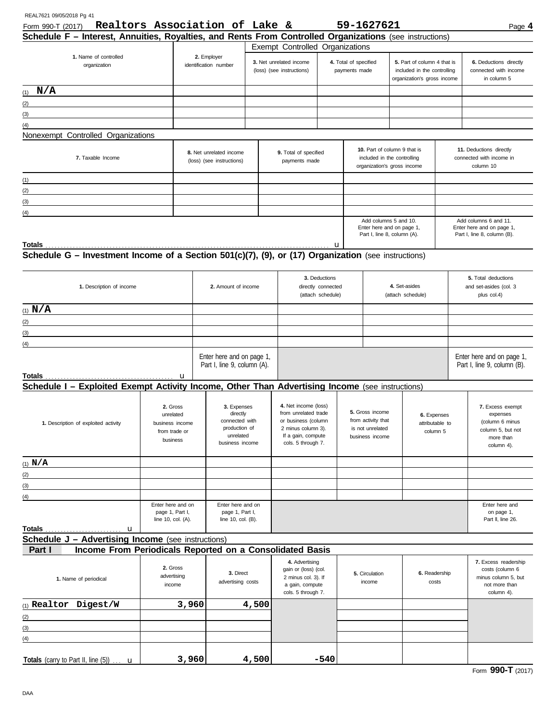| REAL7621 09/05/2018 Pg 41<br>Form 990-T (2017)                                                                | Realtors Association of Lake & |                                                                                            |                                                            |                                                          |                                                                                                                                       |                          |                                                                              | 59-1627621                                                                        |                                                                                           |  | Page 4                                                                                          |
|---------------------------------------------------------------------------------------------------------------|--------------------------------|--------------------------------------------------------------------------------------------|------------------------------------------------------------|----------------------------------------------------------|---------------------------------------------------------------------------------------------------------------------------------------|--------------------------|------------------------------------------------------------------------------|-----------------------------------------------------------------------------------|-------------------------------------------------------------------------------------------|--|-------------------------------------------------------------------------------------------------|
| Schedule F - Interest, Annuities, Royalties, and Rents From Controlled Organizations (see instructions)       |                                |                                                                                            |                                                            |                                                          |                                                                                                                                       |                          |                                                                              |                                                                                   |                                                                                           |  |                                                                                                 |
|                                                                                                               |                                |                                                                                            |                                                            |                                                          | <b>Exempt Controlled Organizations</b>                                                                                                |                          |                                                                              |                                                                                   |                                                                                           |  |                                                                                                 |
| 1. Name of controlled<br>organization                                                                         |                                | 2. Employer<br>identification number                                                       |                                                            | 3. Net unrelated income<br>(loss) (see instructions)     |                                                                                                                                       |                          | 4. Total of specified<br>payments made                                       |                                                                                   | 5. Part of column 4 that is<br>included in the controlling<br>organization's gross income |  | 6. Deductions directly<br>connected with income<br>in column 5                                  |
| $(1)$ N/A                                                                                                     |                                |                                                                                            |                                                            |                                                          |                                                                                                                                       |                          |                                                                              |                                                                                   |                                                                                           |  |                                                                                                 |
| (2)                                                                                                           |                                |                                                                                            |                                                            |                                                          |                                                                                                                                       |                          |                                                                              |                                                                                   |                                                                                           |  |                                                                                                 |
| (3)                                                                                                           |                                |                                                                                            |                                                            |                                                          |                                                                                                                                       |                          |                                                                              |                                                                                   |                                                                                           |  |                                                                                                 |
| (4)                                                                                                           |                                |                                                                                            |                                                            |                                                          |                                                                                                                                       |                          |                                                                              |                                                                                   |                                                                                           |  |                                                                                                 |
| Nonexempt Controlled Organizations                                                                            |                                |                                                                                            |                                                            |                                                          |                                                                                                                                       |                          |                                                                              |                                                                                   |                                                                                           |  |                                                                                                 |
| 7. Taxable Income                                                                                             |                                | 8. Net unrelated income<br>(loss) (see instructions)                                       |                                                            |                                                          | 9. Total of specified<br>payments made                                                                                                |                          |                                                                              | included in the controlling                                                       | 10. Part of column 9 that is<br>organization's gross income                               |  | 11. Deductions directly<br>connected with income in<br>column 10                                |
| <u> 1989 - Johann Barbara, martxa alemaniar a</u><br>(1)                                                      |                                |                                                                                            |                                                            |                                                          |                                                                                                                                       |                          |                                                                              |                                                                                   |                                                                                           |  |                                                                                                 |
| (2)<br><u> 1980 - Johann Barn, mars ann an Catharin ann an t-</u>                                             |                                |                                                                                            |                                                            |                                                          |                                                                                                                                       |                          |                                                                              |                                                                                   |                                                                                           |  |                                                                                                 |
| (3)                                                                                                           |                                |                                                                                            |                                                            |                                                          |                                                                                                                                       |                          |                                                                              |                                                                                   |                                                                                           |  |                                                                                                 |
| (4)                                                                                                           |                                |                                                                                            |                                                            |                                                          |                                                                                                                                       |                          |                                                                              |                                                                                   |                                                                                           |  |                                                                                                 |
|                                                                                                               |                                |                                                                                            |                                                            |                                                          |                                                                                                                                       |                          |                                                                              | Add columns 5 and 10.<br>Enter here and on page 1,<br>Part I, line 8, column (A). |                                                                                           |  | Add columns 6 and 11.<br>Enter here and on page 1,<br>Part I, line 8, column (B).               |
|                                                                                                               |                                |                                                                                            |                                                            |                                                          |                                                                                                                                       |                          |                                                                              |                                                                                   |                                                                                           |  |                                                                                                 |
|                                                                                                               |                                |                                                                                            |                                                            |                                                          |                                                                                                                                       |                          |                                                                              |                                                                                   |                                                                                           |  |                                                                                                 |
| 1. Description of income                                                                                      | 2. Amount of income            |                                                                                            |                                                            | 3. Deductions<br>directly connected<br>(attach schedule) |                                                                                                                                       |                          | 4. Set-asides<br>(attach schedule)                                           |                                                                                   | 5. Total deductions<br>and set-asides (col. 3<br>plus col.4)                              |  |                                                                                                 |
| (1) $N/A$                                                                                                     |                                |                                                                                            |                                                            |                                                          |                                                                                                                                       |                          |                                                                              |                                                                                   |                                                                                           |  |                                                                                                 |
| (2)                                                                                                           |                                |                                                                                            |                                                            |                                                          |                                                                                                                                       |                          |                                                                              |                                                                                   |                                                                                           |  |                                                                                                 |
| (3)                                                                                                           |                                |                                                                                            |                                                            |                                                          |                                                                                                                                       |                          |                                                                              |                                                                                   |                                                                                           |  |                                                                                                 |
| (4)                                                                                                           |                                |                                                                                            |                                                            |                                                          |                                                                                                                                       |                          |                                                                              |                                                                                   |                                                                                           |  |                                                                                                 |
|                                                                                                               |                                | Enter here and on page 1,<br>Part I, line 9, column (A).                                   |                                                            |                                                          |                                                                                                                                       |                          |                                                                              |                                                                                   | Enter here and on page 1,<br>Part I, line 9, column (B).                                  |  |                                                                                                 |
| Schedule I - Exploited Exempt Activity Income, Other Than Advertising Income (see instructions)               | u                              |                                                                                            |                                                            |                                                          |                                                                                                                                       |                          |                                                                              |                                                                                   |                                                                                           |  |                                                                                                 |
| 2. Gross<br>unrelated<br>business income<br>1. Description of exploited activity<br>from trade or<br>business |                                | 3. Expenses<br>directly<br>connected with<br>production of<br>unrelated<br>business income |                                                            |                                                          | 4. Net income (loss)<br>from unrelated trade<br>or business (column<br>2 minus column 3).<br>If a gain, compute<br>cols. 5 through 7. |                          | 5. Gross income<br>from activity that<br>is not unrelated<br>business income |                                                                                   | 6. Expenses<br>attributable to<br>column 5                                                |  | 7. Excess exempt<br>expenses<br>(column 6 minus<br>column 5, but not<br>more than<br>column 4). |
| $(1)$ N/A                                                                                                     |                                |                                                                                            |                                                            |                                                          |                                                                                                                                       |                          |                                                                              |                                                                                   |                                                                                           |  |                                                                                                 |
| (2)                                                                                                           |                                |                                                                                            |                                                            |                                                          |                                                                                                                                       |                          |                                                                              |                                                                                   |                                                                                           |  |                                                                                                 |
| (3)                                                                                                           |                                |                                                                                            |                                                            |                                                          |                                                                                                                                       |                          |                                                                              |                                                                                   |                                                                                           |  |                                                                                                 |
| $\left(4\right)$                                                                                              |                                |                                                                                            |                                                            |                                                          |                                                                                                                                       |                          |                                                                              |                                                                                   |                                                                                           |  |                                                                                                 |
| Enter here and on<br>page 1, Part I,<br>line 10, col. (A).                                                    |                                |                                                                                            | Enter here and on<br>page 1, Part I,<br>line 10, col. (B). |                                                          |                                                                                                                                       |                          |                                                                              |                                                                                   | Enter here and<br>on page 1,<br>Part II, line 26.                                         |  |                                                                                                 |
|                                                                                                               |                                |                                                                                            |                                                            |                                                          |                                                                                                                                       |                          |                                                                              |                                                                                   |                                                                                           |  |                                                                                                 |
| Schedule J - Advertising Income (see instructions)                                                            |                                |                                                                                            |                                                            |                                                          |                                                                                                                                       |                          |                                                                              |                                                                                   |                                                                                           |  |                                                                                                 |
| Income From Periodicals Reported on a Consolidated Basis<br>Part I                                            |                                |                                                                                            |                                                            |                                                          |                                                                                                                                       |                          |                                                                              |                                                                                   |                                                                                           |  |                                                                                                 |
| 2. Gross<br>advertising<br>1. Name of periodical<br>income                                                    |                                |                                                                                            | 3. Direct<br>advertising costs                             |                                                          | 4. Advertising<br>gain or (loss) (col.<br>2 minus col. 3). If<br>a gain, compute<br>cols. 5 through 7.                                | 5. Circulation<br>income |                                                                              |                                                                                   | 6. Readership<br>costs                                                                    |  | 7. Excess readership<br>costs (column 6<br>minus column 5, but<br>not more than<br>column 4).   |
| (1) Realtor Digest/W                                                                                          | 3,960                          |                                                                                            | 4,500                                                      |                                                          |                                                                                                                                       |                          |                                                                              |                                                                                   |                                                                                           |  |                                                                                                 |
| (2)<br>the control of the control of the control of                                                           |                                |                                                                                            |                                                            |                                                          |                                                                                                                                       |                          |                                                                              |                                                                                   |                                                                                           |  |                                                                                                 |
| (3)                                                                                                           |                                |                                                                                            |                                                            |                                                          |                                                                                                                                       |                          |                                                                              |                                                                                   |                                                                                           |  |                                                                                                 |
| (4)                                                                                                           |                                |                                                                                            |                                                            |                                                          |                                                                                                                                       |                          |                                                                              |                                                                                   |                                                                                           |  |                                                                                                 |
| Totals (carry to Part II, line $(5)$ ) $\ldots$ <b>u</b>                                                      | 3,960                          |                                                                                            | 4,500                                                      |                                                          |                                                                                                                                       | $-540$                   |                                                                              |                                                                                   |                                                                                           |  |                                                                                                 |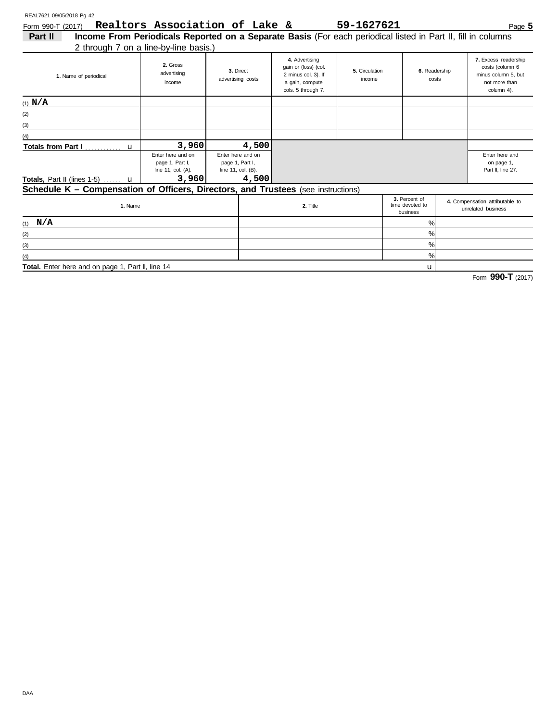Form 990-T (2017) Page **5 Realtors Association of Lake & 59-1627621**

| Part II                                                                           | Income From Periodicals Reported on a Separate Basis (For each periodical listed in Part II, fill in columns |                                                                     |                                                                                                        |                          |                        |                                                                                                       |                                                                                               |
|-----------------------------------------------------------------------------------|--------------------------------------------------------------------------------------------------------------|---------------------------------------------------------------------|--------------------------------------------------------------------------------------------------------|--------------------------|------------------------|-------------------------------------------------------------------------------------------------------|-----------------------------------------------------------------------------------------------|
|                                                                                   | 2 through 7 on a line-by-line basis.)                                                                        |                                                                     |                                                                                                        |                          |                        |                                                                                                       |                                                                                               |
| 1. Name of periodical                                                             | 2. Gross<br>advertising<br>income                                                                            | 3. Direct<br>advertising costs                                      | 4. Advertising<br>gain or (loss) (col.<br>2 minus col. 3). If<br>a gain, compute<br>cols. 5 through 7. | 5. Circulation<br>income | 6. Readership<br>costs |                                                                                                       | 7. Excess readership<br>costs (column 6<br>minus column 5, but<br>not more than<br>column 4). |
| $(1)$ N/A                                                                         |                                                                                                              |                                                                     |                                                                                                        |                          |                        |                                                                                                       |                                                                                               |
| (2)                                                                               |                                                                                                              |                                                                     |                                                                                                        |                          |                        |                                                                                                       |                                                                                               |
| (3)                                                                               |                                                                                                              |                                                                     |                                                                                                        |                          |                        |                                                                                                       |                                                                                               |
| (4)                                                                               |                                                                                                              |                                                                     |                                                                                                        |                          |                        |                                                                                                       |                                                                                               |
|                                                                                   | 3,960                                                                                                        | 4,500                                                               |                                                                                                        |                          |                        |                                                                                                       |                                                                                               |
| <b>Totals, Part II (lines 1-5)</b> $\ldots$ <b>u</b>                              | Enter here and on<br>page 1, Part I,<br>line 11, col. (A).<br>3,960                                          | Enter here and on<br>page 1, Part I,<br>line 11, col. (B).<br>4,500 |                                                                                                        |                          |                        |                                                                                                       | Enter here and<br>on page 1,<br>Part II. line 27.                                             |
| Schedule K - Compensation of Officers, Directors, and Trustees (see instructions) |                                                                                                              |                                                                     |                                                                                                        |                          |                        |                                                                                                       |                                                                                               |
| 1. Name                                                                           |                                                                                                              |                                                                     | 2. Title                                                                                               |                          |                        | 3. Percent of<br>4. Compensation attributable to<br>time devoted to<br>unrelated business<br>business |                                                                                               |
| $(1)$ N/A                                                                         |                                                                                                              |                                                                     |                                                                                                        |                          | %                      |                                                                                                       |                                                                                               |
| (2)                                                                               |                                                                                                              |                                                                     |                                                                                                        |                          | %                      |                                                                                                       |                                                                                               |
| (3)                                                                               |                                                                                                              |                                                                     |                                                                                                        |                          | %                      |                                                                                                       |                                                                                               |
| (4)                                                                               |                                                                                                              |                                                                     |                                                                                                        |                          | %                      |                                                                                                       |                                                                                               |
| Total. Enter here and on page 1, Part II, line 14                                 |                                                                                                              |                                                                     |                                                                                                        |                          | u                      |                                                                                                       |                                                                                               |

Total. Enter here and on page 1, Part II, line 14

Form **990-T** (2017)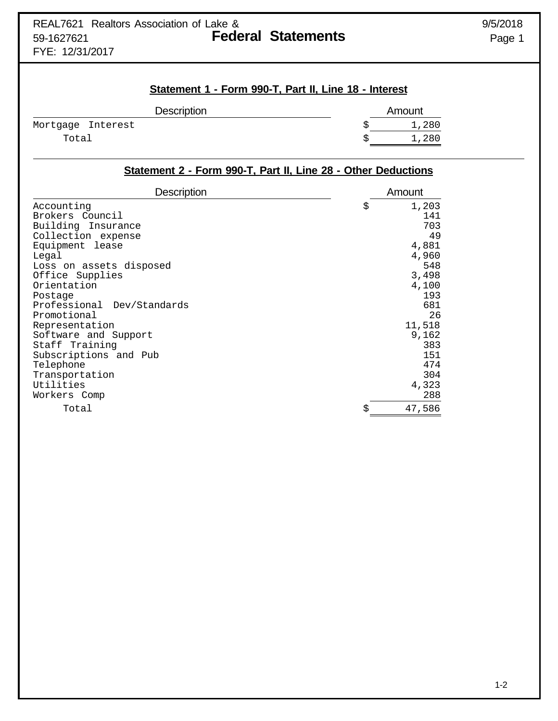## **Statement 1 - Form 990-T, Part II, Line 18 - Interest**

| <b>Description</b> | Amount |
|--------------------|--------|
| Mortgage Interest  | 1,280  |
| Total              | 1,280  |

## **Statement 2 - Form 990-T, Part II, Line 28 - Other Deductions**

| <b>Description</b>         | Amount       |
|----------------------------|--------------|
| Accounting                 | \$<br>1,203  |
| Brokers Council            | 141          |
| Building Insurance         | 703          |
| Collection expense         | 49           |
| Equipment lease            | 4,881        |
| Legal                      | 4,960        |
| Loss on assets disposed    | 548          |
| Office Supplies            | 3,498        |
| Orientation                | 4,100        |
| Postage                    | 193          |
| Professional Dev/Standards | 681          |
| Promotional                | 26           |
| Representation             | 11,518       |
| Software and Support       | 9,162        |
| Staff Training             | 383          |
| Subscriptions and Pub      | 151          |
| Telephone                  | 474          |
| Transportation             | 304          |
| Utilities                  | 4,323        |
| Workers Comp               | 288          |
| Total                      | \$<br>47,586 |